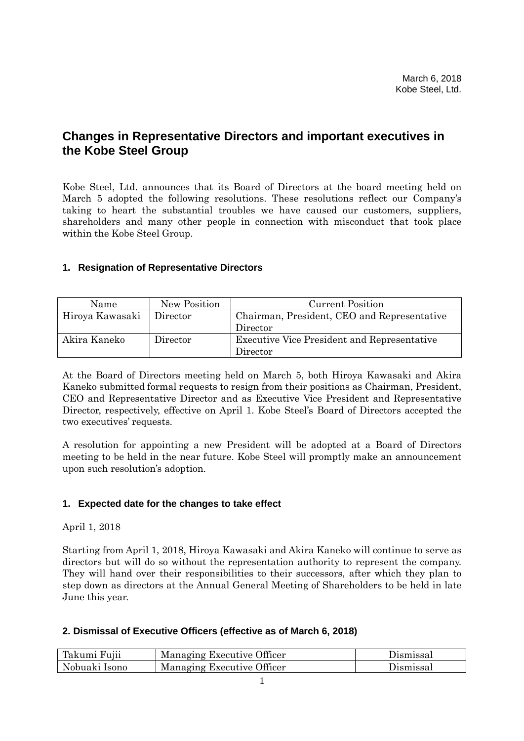# **Changes in Representative Directors and important executives in the Kobe Steel Group**

Kobe Steel, Ltd. announces that its Board of Directors at the board meeting held on March 5 adopted the following resolutions. These resolutions reflect our Company's taking to heart the substantial troubles we have caused our customers, suppliers, shareholders and many other people in connection with misconduct that took place within the Kobe Steel Group.

### **1. Resignation of Representative Directors**

| Name            | New Position | <b>Current Position</b>                            |
|-----------------|--------------|----------------------------------------------------|
| Hiroya Kawasaki | Director     | Chairman, President, CEO and Representative        |
|                 |              | Director                                           |
| Akira Kaneko    | Director     | <b>Executive Vice President and Representative</b> |
|                 |              | Director                                           |

At the Board of Directors meeting held on March 5, both Hiroya Kawasaki and Akira Kaneko submitted formal requests to resign from their positions as Chairman, President, CEO and Representative Director and as Executive Vice President and Representative Director, respectively, effective on April 1. Kobe Steel's Board of Directors accepted the two executives' requests.

A resolution for appointing a new President will be adopted at a Board of Directors meeting to be held in the near future. Kobe Steel will promptly make an announcement upon such resolution's adoption.

### **1. Expected date for the changes to take effect**

### April 1, 2018

Starting from April 1, 2018, Hiroya Kawasaki and Akira Kaneko will continue to serve as directors but will do so without the representation authority to represent the company. They will hand over their responsibilities to their successors, after which they plan to step down as directors at the Annual General Meeting of Shareholders to be held in late June this year.

### **2. Dismissal of Executive Officers (effective as of March 6, 2018)**

| Takumi Fujii  | Managing Executive Officer | Dismissal |
|---------------|----------------------------|-----------|
| Nobuaki Isono | Managing Executive Officer | Dismissal |